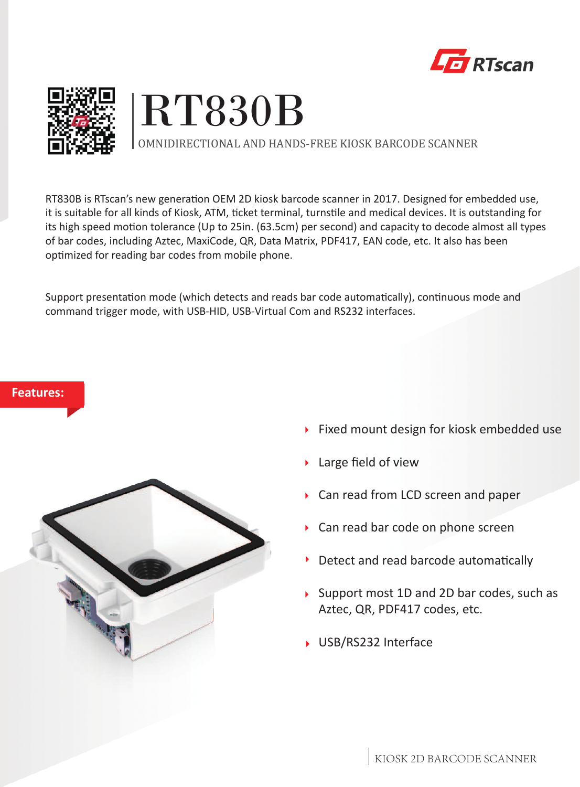





OMNIDIRECTIONAL AND HANDS-FREE KIOSK BARCODE SCANNER

RT830B is RTscan's new generation OEM 2D kiosk barcode scanner in 2017. Designed for embedded use, it is suitable for all kinds of Kiosk, ATM, ticket terminal, turnstile and medical devices. It is outstanding for its high speed motion tolerance (Up to 25in. (63.5cm) per second) and capacity to decode almost all types of bar codes, including Aztec, MaxiCode, QR, Data Matrix, PDF417, EAN code, etc. It also has been optimized for reading bar codes from mobile phone.

Support presentation mode (which detects and reads bar code automatically), continuous mode and command trigger mode, with USB-HID, USB-Virtual Com and RS232 interfaces.

# **Features:**



- **Fixed mount design for kiosk embedded use**
- Large field of view  $\blacktriangleright$
- Can read from LCD screen and paper
- ▶ Can read bar code on phone screen
- Detect and read barcode automatically Þ
- ▶ Support most 1D and 2D bar codes, such as Aztec, QR, PDF417 codes, etc.
- ▶ USB/RS232 Interface